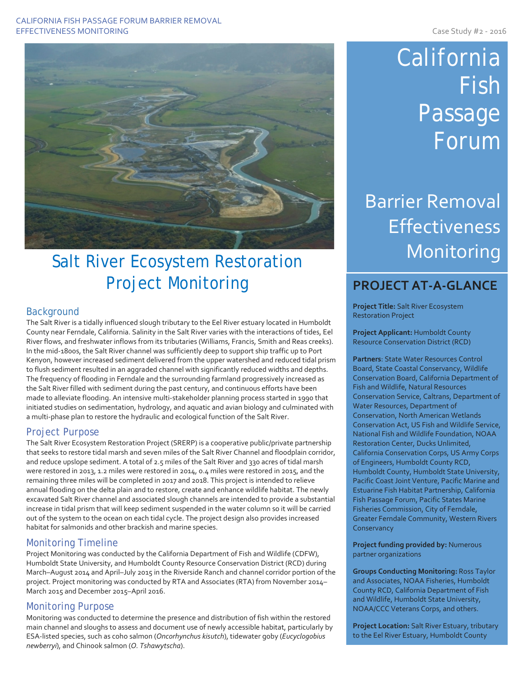#### CALIFORNIA FISH PASSAGE FORUM BARRIER REMOVAL EFFECTIVENESS MONITORING **CASE AND THE SET OF STATE AND SET OF STATE AND SET OF STATE AND SET OF STATE AND SET OF STATE AND SET OF STATE AND SET OF STATE AND SET OF STATE AND SET OF STATE AND SET OF STATE AND SET OF STATE**



## Salt River Ecosystem Restoration Project Monitoring

## **Background**

The Salt River is a tidally influenced slough tributary to the Eel River estuary located in Humboldt County near Ferndale, California. Salinity in the Salt River varies with the interactions of tides, Eel River flows, and freshwater inflows from its tributaries (Williams, Francis, Smith and Reas creeks). In the mid-1800s, the Salt River channel was sufficiently deep to support ship traffic up to Port Kenyon, however increased sediment delivered from the upper watershed and reduced tidal prism to flush sediment resulted in an aggraded channel with significantly reduced widths and depths. The frequency of flooding in Ferndale and the surrounding farmland progressively increased as the Salt River filled with sediment during the past century, and continuous efforts have been made to alleviate flooding. An intensive multi-stakeholder planning process started in 1990 that initiated studies on sedimentation, hydrology, and aquatic and avian biology and culminated with a multi-phase plan to restore the hydraulic and ecological function of the Salt River.

## Project Purpose

The Salt River Ecosystem Restoration Project (SRERP) is a cooperative public/private partnership that seeks to restore tidal marsh and seven miles of the Salt River Channel and floodplain corridor, and reduce upslope sediment. A total of 2.5 miles of the Salt River and 330 acres of tidal marsh were restored in 2013, 1.2 miles were restored in 2014, 0.4 miles were restored in 2015, and the remaining three miles will be completed in 2017 and 2018. This project is intended to relieve annual flooding on the delta plain and to restore, create and enhance wildlife habitat. The newly excavated Salt River channel and associated slough channels are intended to provide a substantial increase in tidal prism that will keep sediment suspended in the water column so it will be carried out of the system to the ocean on each tidal cycle. The project design also provides increased habitat for salmonids and other brackish and marine species.

## Monitoring Timeline

Project Monitoring was conducted by the California Department of Fish and Wildlife (CDFW), Humboldt State University, and Humboldt County Resource Conservation District (RCD) during March–August 2014 and April–July 2015 in the Riverside Ranch and channel corridor portion of the project. Project monitoring was conducted by RTA and Associates (RTA) from November 2014– March 2015 and December 2015–April 2016.

### Monitoring Purpose

Monitoring was conducted to determine the presence and distribution of fish within the restored main channel and sloughs to assess and document use of newly accessible habitat, particularly by ESA-listed species, such as coho salmon (*Oncorhynchus kisutch*), tidewater goby (*Eucyclogobius newberryi*), and Chinook salmon (*O. Tshawytscha*).

# California Fish Passage Forum

## Barrier Removal Effectiveness Monitoring

## **PROJECT AT-A-GLANCE**

**Project Title:** Salt River Ecosystem Restoration Project

**Project Applicant:** Humboldt County Resource Conservation District (RCD)

**Partners**: State Water Resources Control Board, State Coastal Conservancy, Wildlife Conservation Board, California Department of Fish and Wildlife, Natural Resources Conservation Service, Caltrans, Department of Water Resources, Department of Conservation, North American Wetlands Conservation Act, US Fish and Wildlife Service, National Fish and Wildlife Foundation, NOAA Restoration Center, Ducks Unlimited, California Conservation Corps, US Army Corps of Engineers, Humboldt County RCD, Humboldt County, Humboldt State University, Pacific Coast Joint Venture, Pacific Marine and Estuarine Fish Habitat Partnership, California Fish Passage Forum, Pacific States Marine Fisheries Commission, City of Ferndale, Greater Ferndale Community, Western Rivers **Conservancy** 

**Project funding provided by:** Numerous partner organizations

**Groups Conducting Monitoring:** Ross Taylor and Associates, NOAA Fisheries, Humboldt County RCD, California Department of Fish and Wildlife, Humboldt State University, NOAA/CCC Veterans Corps, and others.

**Project Location:** Salt River Estuary, tributary to the Eel River Estuary, Humboldt County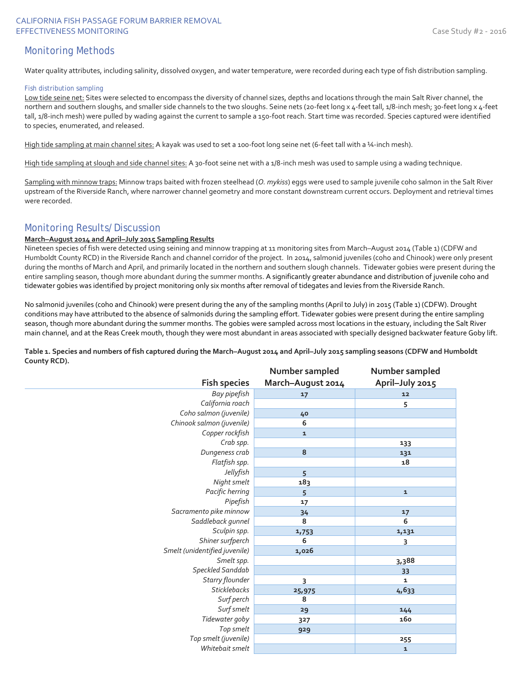### CALIFORNIA FISH PASSAGE FORUM BARRIER REMOVAL EFFECTIVENESS MONITORING **CASE AND THE SET OF STATE AND SET OF STATE AND SET OF STATE AND SET OF STATE AND SET OF STATE AND SET OF STATE AND SET OF STATE AND SET OF STATE AND SET OF STATE AND SET OF STATE AND SET OF STATE**

## Monitoring Methods

Water quality attributes, including salinity, dissolved oxygen, and water temperature, were recorded during each type of fish distribution sampling.

#### Fish distribution sampling

Low tide seine net: Sites were selected to encompass the diversity of channel sizes, depths and locations through the main Salt River channel, the northern and southern sloughs, and smaller side channels to the two sloughs. Seine nets (20-feet long x 4-feet tall, 1/8-inch mesh; 30-feet long x 4-feet tall, 1/8-inch mesh) were pulled by wading against the current to sample a 150-foot reach. Start time was recorded. Species captured were identified to species, enumerated, and released.

High tide sampling at main channel sites: A kayak was used to set a 100-foot long seine net (6-feet tall with a ¼-inch mesh).

High tide sampling at slough and side channel sites: A 30-foot seine net with a 1/8-inch mesh was used to sample using a wading technique.

Sampling with minnow traps: Minnow traps baited with frozen steelhead (*O. mykiss*) eggs were used to sample juvenile coho salmon in the Salt River upstream of the Riverside Ranch, where narrower channel geometry and more constant downstream current occurs. Deployment and retrieval times were recorded.

## Monitoring Results/Discussion

#### **March–August 2014 and April–July 2015 Sampling Results**

Nineteen species of fish were detected using seining and minnow trapping at 11 monitoring sites from March–August 2014 (Table 1) (CDFW and Humboldt County RCD) in the Riverside Ranch and channel corridor of the project. In 2014, salmonid juveniles (coho and Chinook) were only present during the months of March and April, and primarily located in the northern and southern slough channels. Tidewater gobies were present during the entire sampling season, though more abundant during the summer months. A significantly greater abundance and distribution of juvenile coho and tidewater gobies was identified by project monitoring only six months after removal of tidegates and levies from the Riverside Ranch.

No salmonid juveniles (coho and Chinook) were present during the any of the sampling months (April to July) in 2015 (Table 1) (CDFW). Drought conditions may have attributed to the absence of salmonids during the sampling effort. Tidewater gobies were present during the entire sampling season, though more abundant during the summer months. The gobies were sampled across most locations in the estuary, including the Salt River main channel, and at the Reas Creek mouth, though they were most abundant in areas associated with specially designed backwater feature Goby lift.

**Table 1. Species and numbers of fish captured during the March–August 2014 and April–July 2015 sampling seasons (CDFW and Humboldt County RCD). Number sampled Number sampled**

| <b>Fish species</b>           | <b>Promocratifical</b><br>March-August 2014 | <b>INDITION</b> SUITPICU<br>April-July 2015 |
|-------------------------------|---------------------------------------------|---------------------------------------------|
| Bay pipefish                  | 17                                          | 12                                          |
| California roach              |                                             | 5                                           |
| Coho salmon (juvenile)        | 40                                          |                                             |
| Chinook salmon (juvenile)     | 6                                           |                                             |
| Copper rockfish               | ${\bf 1}$                                   |                                             |
| Crab spp.                     |                                             | 133                                         |
| Dungeness crab                | 8                                           | 131                                         |
| Flatfish spp.                 |                                             | 18                                          |
| Jellyfish                     | 5                                           |                                             |
| Night smelt                   | 183                                         |                                             |
| Pacific herring               | 5                                           | ${\bf 1}$                                   |
| Pipefish                      | 17                                          |                                             |
| Sacramento pike minnow        | 34                                          | 17                                          |
| Saddleback gunnel             | 8                                           | 6                                           |
| Sculpin spp.                  | 1,753                                       | 1,131                                       |
| Shiner surfperch              | 6                                           | 3                                           |
| Smelt (unidentified juvenile) | 1,026                                       |                                             |
| Smelt spp.                    |                                             | 3,388                                       |
| Speckled Sanddab              |                                             | 33                                          |
| Starry flounder               | 3                                           | $\mathbf{1}$                                |
| <b>Sticklebacks</b>           | 25,975                                      | 4,633                                       |
| Surf perch                    | 8                                           |                                             |
| Surf smelt                    | 29                                          | 144                                         |
| Tidewater goby                | 327                                         | 160                                         |
| Top smelt                     | 929                                         |                                             |
| Top smelt (juvenile)          |                                             | 255                                         |
| Whitebait smelt               |                                             | ${\bf 1}$                                   |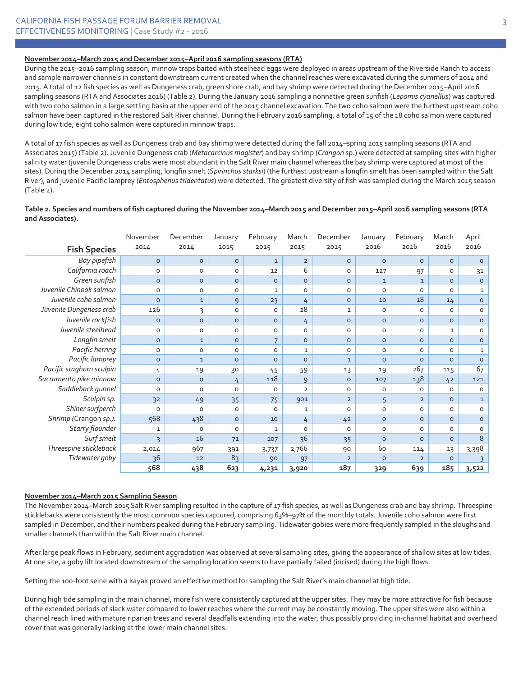#### **November 2014–March 2015 and December 2015–April 2016 sampling seasons (RTA)**

During the 2015–2016 sampling season, minnow traps baited with steelhead eggs were deployed in areas upstream of the Riverside Ranch to access and sample narrower channels in constant downstream current created when the channel reaches were excavated during the summers of 2014 and 2015. A total of 12 fish species as well as Dungeness crab, green shore crab, and bay shrimp were detected during the December 2015–April 2016 sampling seasons (RTA and Associates 2016) (Table 2). During the January 2016 sampling a nonnative green sunfish (*Lepomis cyanellus*) was captured with two coho salmon in a large settling basin at the upper end of the 2015 channel excavation. The two coho salmon were the furthest upstream coho salmon have been captured in the restored Salt River channel. During the February 2016 sampling, a total of 15 of the 18 coho salmon were captured during low tide; eight coho salmon were captured in minnow traps.

A total of 17 fish species as well as Dungeness crab and bay shrimp were detected during the fall 2014-spring 2015 sampling seasons (RTA and Associates 2015) (Table 2). Juvenile Dungeness crab (*Metacarcinus magister*) and bay shrimp (*Crangon* sp.) were detected at sampling sites with higher salinity water (juvenile Dungeness crabs were most abundant in the Salt River main channel whereas the bay shrimp were captured at most of the sites). During the December 2014 sampling, longfin smelt (*Spirinchus starksi*) (the furthest upstream a longfin smelt has been sampled within the Salt River), and juvenile Pacific lamprey (*Entosphenus tridentatus*) were detected. The greatest diversity of fish was sampled during the March 2015 season (Table 2).

#### **Table 2. Species and numbers of fish captured during the November 2014–March 2015 and December 2015–April 2016 sampling seasons (RTA and Associates).**

|                          | November       | December     | January | February       | March          | December            | January      | February       | March        | April        |
|--------------------------|----------------|--------------|---------|----------------|----------------|---------------------|--------------|----------------|--------------|--------------|
| <b>Fish Species</b>      | 2014           | 2014         | 2015    | 2015           | 2015           | 2015                | 2016         | 2016           | 2016         | 2016         |
| Bay pipefish             | $\circ$        | $\circ$      | $\circ$ | $\mathbf{1}$   | $\overline{2}$ | $\circ$             | $\circ$      | $\circ$        | $\circ$      | $\circ$      |
| California roach         | $\circ$        | O            | O       | 12             | 6              | $\mathsf{O}\xspace$ | 127          | 97             | O            | 31           |
| Green sunfish            | $\circ$        | $\circ$      | $\circ$ | $\circ$        | $\circ$        | $\circ$             | $\mathbf{1}$ | $\mathbf{1}$   | $\circ$      | $\circ$      |
| Juvenile Chinook salmon  | $\circ$        | O            | O       | $\mathbf{1}$   | $\circ$        | $\mathsf{O}\xspace$ | $\circ$      | 0              | 0            | $\mathbf{1}$ |
| Juvenile coho salmon     | $\circ$        | $\mathbf{1}$ | 9       | 23             | 4              | $\circ$             | 10           | 18             | 14           | $\circ$      |
| Juvenile Dungeness crab  | 126            | 3            | O       | 0              | 28             | $\overline{2}$      | $\mathsf O$  | 0              | $\circ$      | $\circ$      |
| Juvenile rockfish        | $\circ$        | $\circ$      | $\circ$ | $\circ$        | 4              | $\circ$             | $\circ$      | $\circ$        | $\circ$      | $\circ$      |
| Juvenile steelhead       | $\circ$        | $\circ$      | $\circ$ | $\circ$        | $\circ$        | $\circ$             | $\circ$      | $\circ$        | $\mathbf{1}$ | $\mathsf O$  |
| Longfin smelt            | $\circ$        | $\mathbf{1}$ | $\circ$ | $\overline{7}$ | $\circ$        | $\circ$             | $\circ$      | $\circ$        | $\circ$      | $\circ$      |
| Pacific herring          | $\circ$        | $\circ$      | O       | $\circ$        | $\mathbf{1}$   | $\circ$             | $\circ$      | $\circ$        | O            | $\mathbf{1}$ |
| Pacific lamprey          | $\circ$        | $\mathbf{1}$ | $\circ$ | $\circ$        | $\circ$        | $\mathbf{1}$        | $\circ$      | $\circ$        | $\circ$      | $\circ$      |
| Pacific staghorn sculpin | 4              | 19           | 30      | 45             | 59             | 13                  | 19           | 267            | 115          | 67           |
| Sacramento pike minnow   | $\circ$        | $\circ$      | 4       | 118            | 9              | $\circ$             | 107          | 138            | 42           | 121          |
| Saddleback gunnel        | $\circ$        | $\circ$      | O       | $\circ$        | $\overline{2}$ | $\circ$             | 0            | O              | $\circ$      | $\circ$      |
| Sculpin sp.              | 3 <sup>2</sup> | 49           | 35      | 75             | 901            | $\overline{2}$      | 5            | $\overline{2}$ | $\circ$      | $\mathbf{1}$ |
| Shiner surfperch         | $\Omega$       | $\circ$      | O       | $\circ$        | 1              | $\circ$             | $\circ$      | O              | $\circ$      | $\circ$      |
| Shrimp (Crangon sp.).    | 568            | 438          | $\circ$ | 10             | 4              | 42                  | $\circ$      | $\circ$        | $\circ$      | $\circ$      |
| <b>Starry flounder</b>   | $\mathbf{1}$   | $\circ$      | $\circ$ | $\mathbf{1}$   | $\circ$        | $\circ$             | $\circ$      | $\circ$        | O            | $\circ$      |
| Surf smelt               | 3              | 16           | 71      | 107            | 36             | 35                  | $\circ$      | $\circ$        | $\circ$      | 8            |
| Threespine stickleback   | 2,014          | 967          | 391     | 3,737          | 2,766          | 90                  | 60           | 114            | 13           | 3,398        |
| Tidewater goby           | 36             | 12           | 83      | 90             | 97             | $\overline{2}$      | $\circ$      | $\overline{2}$ | $\circ$      | 3            |
|                          | 568            | 438          | 623     | 4,231          | 3,920          | 187                 | 329          | 639            | 185          | 3,522        |

#### **November 2014–March 2015 Sampling Season**

The November 2014–March 2015 Salt River sampling resulted in the capture of 17 fish species, as well as Dungeness crab and bay shrimp. Threespine sticklebacks were consistently the most common species captured, comprising 63%–97% of the monthly totals. Juvenile coho salmon were first sampled in December, and their numbers peaked during the February sampling. Tidewater gobies were more frequently sampled in the sloughs and smaller channels than within the Salt River main channel.

After large peak flows in February, sediment aggradation was observed at several sampling sites, giving the appearance of shallow sites at low tides. At one site, a goby lift located downstream of the sampling location seems to have partially failed (incised) during the high flows.

Setting the 100-foot seine with a kayak proved an effective method for sampling the Salt River's main channel at high tide.

During high tide sampling in the main channel, more fish were consistently captured at the upper sites. They may be more attractive for fish because of the extended periods of slack water compared to lower reaches where the current may be constantly moving. The upper sites were also within a channel reach lined with mature riparian trees and several deadfalls extending into the water, thus possibly providing in-channel habitat and overhead cover that was generally lacking at the lower main channel sites.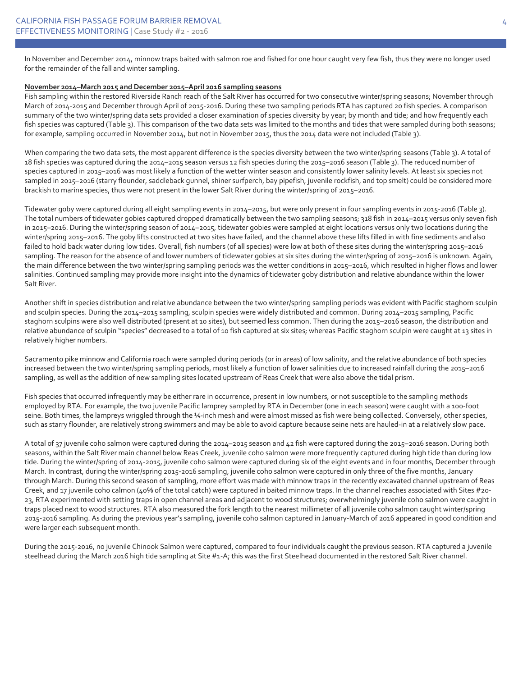In November and December 2014, minnow traps baited with salmon roe and fished for one hour caught very few fish, thus they were no longer used for the remainder of the fall and winter sampling.

#### **November 2014–March 2015 and December 2015–April 2016 sampling seasons**

Fish sampling within the restored Riverside Ranch reach of the Salt River has occurred for two consecutive winter/spring seasons; November through March of 2014-2015 and December through April of 2015-2016. During these two sampling periods RTA has captured 20 fish species. A comparison summary of the two winter/spring data sets provided a closer examination of species diversity by year; by month and tide; and how frequently each fish species was captured (Table 3). This comparison of the two data sets was limited to the months and tides that were sampled during both seasons; for example, sampling occurred in November 2014, but not in November 2015, thus the 2014 data were not included (Table 3).

When comparing the two data sets, the most apparent difference is the species diversity between the two winter/spring seasons (Table 3). A total of 18 fish species was captured during the 2014–2015 season versus 12 fish species during the 2015–2016 season (Table 3). The reduced number of species captured in 2015–2016 was most likely a function of the wetter winter season and consistently lower salinity levels. At least six species not sampled in 2015–2016 (starry flounder, saddleback gunnel, shiner surfperch, bay pipefish, juvenile rockfish, and top smelt) could be considered more brackish to marine species, thus were not present in the lower Salt River during the winter/spring of 2015–2016.

Tidewater goby were captured during all eight sampling events in 2014–2015, but were only present in four sampling events in 2015-2016 (Table 3). The total numbers of tidewater gobies captured dropped dramatically between the two sampling seasons; 318 fish in 2014–2015 versus only seven fish in 2015–2016. During the winter/spring season of 2014–2015, tidewater gobies were sampled at eight locations versus only two locations during the winter/spring 2015–2016. The goby lifts constructed at two sites have failed, and the channel above these lifts filled in with fine sediments and also failed to hold back water during low tides. Overall, fish numbers (of all species) were low at both of these sites during the winter/spring 2015–2016 sampling. The reason for the absence of and lower numbers of tidewater gobies at six sites during the winter/spring of 2015–2016 is unknown. Again, the main difference between the two winter/spring sampling periods was the wetter conditions in 2015–2016, which resulted in higher flows and lower salinities. Continued sampling may provide more insight into the dynamics of tidewater goby distribution and relative abundance within the lower Salt River.

Another shift in species distribution and relative abundance between the two winter/spring sampling periods was evident with Pacific staghorn sculpin and sculpin species. During the 2014–2015 sampling, sculpin species were widely distributed and common. During 2014–2015 sampling, Pacific staghorn sculpins were also well distributed (present at 10 sites), but seemed less common. Then during the 2015–2016 season, the distribution and relative abundance of sculpin "species" decreased to a total of 10 fish captured at six sites; whereas Pacific staghorn sculpin were caught at 13 sites in relatively higher numbers.

Sacramento pike minnow and California roach were sampled during periods (or in areas) of low salinity, and the relative abundance of both species increased between the two winter/spring sampling periods, most likely a function of lower salinities due to increased rainfall during the 2015–2016 sampling, as well as the addition of new sampling sites located upstream of Reas Creek that were also above the tidal prism.

Fish species that occurred infrequently may be either rare in occurrence, present in low numbers, or not susceptible to the sampling methods employed by RTA. For example, the two juvenile Pacific lamprey sampled by RTA in December (one in each season) were caught with a 100-foot seine. Both times, the lampreys wriggled through the ¼-inch mesh and were almost missed as fish were being collected. Conversely, other species, such as starry flounder, are relatively strong swimmers and may be able to avoid capture because seine nets are hauled-in at a relatively slow pace.

A total of 37 juvenile coho salmon were captured during the 2014–2015 season and 42 fish were captured during the 2015–2016 season. During both seasons, within the Salt River main channel below Reas Creek, juvenile coho salmon were more frequently captured during high tide than during low tide. During the winter/spring of 2014-2015, juvenile coho salmon were captured during six of the eight events and in four months, December through March. In contrast, during the winter/spring 2015-2016 sampling, juvenile coho salmon were captured in only three of the five months, January through March. During this second season of sampling, more effort was made with minnow traps in the recently excavated channel upstream of Reas Creek, and 17 juvenile coho calmon (40% of the total catch) were captured in baited minnow traps. In the channel reaches associated with Sites #20- 23, RTA experimented with setting traps in open channel areas and adjacent to wood structures; overwhelmingly juvenile coho salmon were caught in traps placed next to wood structures. RTA also measured the fork length to the nearest millimeter of all juvenile coho salmon caught winter/spring 2015-2016 sampling. As during the previous year's sampling, juvenile coho salmon captured in January-March of 2016 appeared in good condition and were larger each subsequent month.

During the 2015-2016, no juvenile Chinook Salmon were captured, compared to four individuals caught the previous season. RTA captured a juvenile steelhead during the March 2016 high tide sampling at Site #1-A; this was the first Steelhead documented in the restored Salt River channel.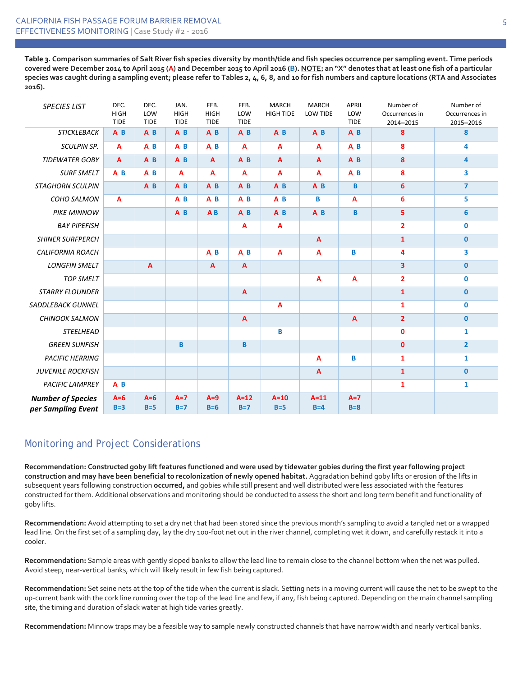**Table 3. Comparison summaries of Salt River fish species diversity by month/tide and fish species occurrence per sampling event. Time periods covered were December 2014 to April 2015 (A) and December 2015 to April 2016 (B). NOTE: an "X" denotes that at least one fish of a particular species was caught during a sampling event; please refer to Tables 2, 4, 6, 8, and 10 for fish numbers and capture locations (RTA and Associates 2016).**

| <b>SPECIES LIST</b>      | DEC.<br><b>HIGH</b><br><b>TIDE</b> | DEC.<br>LOW<br><b>TIDE</b> | JAN.<br><b>HIGH</b><br><b>TIDE</b> | FEB.<br><b>HIGH</b><br><b>TIDE</b> | FEB.<br>LOW<br><b>TIDE</b> | <b>MARCH</b><br><b>HIGH TIDE</b> | <b>MARCH</b><br>LOW TIDE | APRIL<br>LOW<br><b>TIDE</b> | Number of<br>Occurrences in<br>2014-2015 | Number of<br>Occurrences in<br>2015-2016 |
|--------------------------|------------------------------------|----------------------------|------------------------------------|------------------------------------|----------------------------|----------------------------------|--------------------------|-----------------------------|------------------------------------------|------------------------------------------|
| <b>STICKLEBACK</b>       | A <sub>B</sub>                     | $A$ $B$                    | A <sub>B</sub>                     | $A$ $B$                            | A <sub>B</sub>             | A <sub>B</sub>                   | A <sub>B</sub>           | A <sub>B</sub>              | 8                                        | 8                                        |
| <b>SCULPIN SP.</b>       | A                                  | A <sub>B</sub>             | A <sub>B</sub>                     | A <sub>B</sub>                     | A                          | A                                | A                        | A <sub>B</sub>              | 8                                        | 4                                        |
| <b>TIDEWATER GOBY</b>    | $\mathbf{A}$                       | A <sub>B</sub>             | A <sub>B</sub>                     | $\overline{A}$                     | A <sub>B</sub>             | $\mathbf{A}$                     | $\overline{A}$           | A <sub>B</sub>              | 8                                        | 4                                        |
| <b>SURF SMELT</b>        | $A$ $B$                            | $A$ $B$                    | $\overline{A}$                     | $\overline{A}$                     | A                          | A                                | $\overline{A}$           | $A$ $B$                     | 8                                        | 3                                        |
| <b>STAGHORN SCULPIN</b>  |                                    | $A$ $B$                    | $A$ $B$                            | $A$ $B$                            | $A$ <sub>B</sub>           | $A$ $B$                          | $A$ <sub>B</sub>         | $\mathbf B$                 | $\bf 6$                                  | $\overline{7}$                           |
| COHO SALMON              | $\overline{A}$                     |                            | $A$ $B$                            | $A$ $B$                            | $A$ $B$                    | $A$ $B$                          | B                        | A                           | 6                                        | 5                                        |
| <b>PIKE MINNOW</b>       |                                    |                            | A <sub>B</sub>                     | A <sub>B</sub>                     | A <sub>B</sub>             | A <sub>B</sub>                   | A <sub>B</sub>           | $\mathbf B$                 | 5                                        | $6\phantom{1}6$                          |
| <b>BAY PIPEFISH</b>      |                                    |                            |                                    |                                    | A                          | A                                |                          |                             | $\overline{2}$                           | $\pmb{0}$                                |
| <b>SHINER SURFPERCH</b>  |                                    |                            |                                    |                                    |                            |                                  | A                        |                             | $\mathbf{1}$                             | $\mathbf{0}$                             |
| <b>CALIFORNIA ROACH</b>  |                                    |                            |                                    | $A$ $B$                            | $A$ <sub>B</sub>           | A                                | A                        | B                           | 4                                        | 3                                        |
| <b>LONGFIN SMELT</b>     |                                    | $\mathbf{A}$               |                                    | $\overline{A}$                     | $\overline{A}$             |                                  |                          |                             | $\overline{\mathbf{3}}$                  | $\mathbf{0}$                             |
| <b>TOP SMELT</b>         |                                    |                            |                                    |                                    |                            |                                  | A                        | A                           | $\overline{2}$                           | 0                                        |
| <b>STARRY FLOUNDER</b>   |                                    |                            |                                    |                                    | $\overline{A}$             |                                  |                          |                             | $\mathbf 1$                              | $\bf{0}$                                 |
| SADDLEBACK GUNNEL        |                                    |                            |                                    |                                    |                            | A                                |                          |                             | 1                                        | 0                                        |
| <b>CHINOOK SALMON</b>    |                                    |                            |                                    |                                    | A                          |                                  |                          | $\overline{A}$              | $\overline{2}$                           | $\mathbf{0}$                             |
| <b>STEELHEAD</b>         |                                    |                            |                                    |                                    |                            | B                                |                          |                             | $\mathbf 0$                              | $\mathbf{1}$                             |
| <b>GREEN SUNFISH</b>     |                                    |                            | B                                  |                                    | B                          |                                  |                          |                             | $\mathbf{0}$                             | $\overline{2}$                           |
| <b>PACIFIC HERRING</b>   |                                    |                            |                                    |                                    |                            |                                  | A                        | B                           | $\mathbf{1}$                             | $\mathbf{1}$                             |
| <b>JUVENILE ROCKFISH</b> |                                    |                            |                                    |                                    |                            |                                  | $\overline{A}$           |                             | $\mathbf{1}$                             | $\bf{0}$                                 |
| <b>PACIFIC LAMPREY</b>   | A <sub>B</sub>                     |                            |                                    |                                    |                            |                                  |                          |                             | $\mathbf{1}$                             | $\mathbf{1}$                             |
| <b>Number of Species</b> | $A=6$                              | $A=6$                      | $A=7$                              | $A=9$                              | $A=12$                     | $A=10$                           | $A=11$                   | $A=7$                       |                                          |                                          |
| per Sampling Event       | $B=3$                              | $B=5$                      | $B=7$                              | $B=6$                              | $B=7$                      | $B=5$                            | $B=4$                    | $B=8$                       |                                          |                                          |

## Monitoring and Project Considerations

**Recommendation: Constructed goby lift features functioned and were used by tidewater gobies during the first year following project construction and may have been beneficial to recolonization of newly opened habitat.** Aggradation behind goby lifts or erosion of the lifts in subsequent years following construction **occurred,** and gobies while still present and well distributed were less associated with the features constructed for them. Additional observations and monitoring should be conducted to assess the short and long term benefit and functionality of goby lifts.

**Recommendation:** Avoid attempting to set a dry net that had been stored since the previous month's sampling to avoid a tangled net or a wrapped lead line. On the first set of a sampling day, lay the dry 100-foot net out in the river channel, completing wet it down, and carefully restack it into a cooler.

**Recommendation:** Sample areas with gently sloped banks to allow the lead line to remain close to the channel bottom when the net was pulled. Avoid steep, near-vertical banks, which will likely result in few fish being captured.

**Recommendation:** Set seine nets at the top of the tide when the current is slack. Setting nets in a moving current will cause the net to be swept to the up-current bank with the cork line running over the top of the lead line and few, if any, fish being captured. Depending on the main channel sampling site, the timing and duration of slack water at high tide varies greatly.

**Recommendation:** Minnow traps may be a feasible way to sample newly constructed channels that have narrow width and nearly vertical banks.